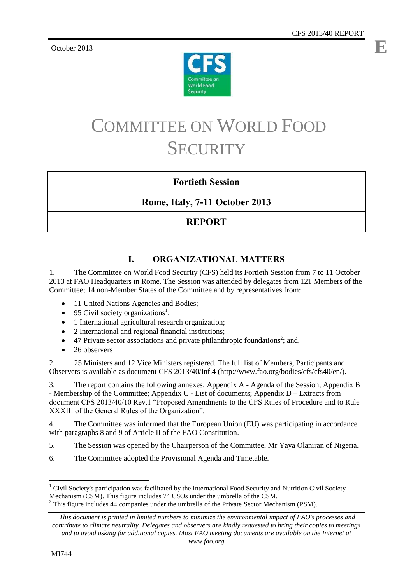**E**

October 2013



# COMMITTEE ON WORLD FOOD **SECURITY**

# **Fortieth Session**

# **Rome, Italy, 7-11 October 2013**

# **REPORT**

# **I. ORGANIZATIONAL MATTERS**

1. The Committee on World Food Security (CFS) held its Fortieth Session from 7 to 11 October 2013 at FAO Headquarters in Rome. The Session was attended by delegates from 121 Members of the Committee; 14 non-Member States of the Committee and by representatives from:

- 11 United Nations Agencies and Bodies;
- 95 Civil society organizations<sup>1</sup>;
- 1 International agricultural research organization;
- 2 International and regional financial institutions;
- $\bullet$  47 Private sector associations and private philanthropic foundations<sup>2</sup>; and,
- 26 observers

2. 25 Ministers and 12 Vice Ministers registered. The full list of Members, Participants and Observers is available as document CFS 2013/40/Inf.4 [\(http://www.fao.org/bodies/cfs/cfs40/en/\)](http://www.fao.org/bodies/cfs/cfs40/en/).

3. The report contains the following annexes: Appendix A - Agenda of the Session; Appendix B - Membership of the Committee; Appendix C - List of documents; Appendix D – Extracts from document CFS 2013/40/10 Rev.1 "Proposed Amendments to the CFS Rules of Procedure and to Rule XXXIII of the General Rules of the Organization".

4. The Committee was informed that the European Union (EU) was participating in accordance with paragraphs 8 and 9 of Article II of the FAO Constitution.

- 5. The Session was opened by the Chairperson of the Committee, Mr Yaya Olaniran of Nigeria.
- 6. The Committee adopted the Provisional Agenda and Timetable.

*www.fao.org*

l <sup>1</sup> Civil Society's participation was facilitated by the International Food Security and Nutrition Civil Society Mechanism (CSM). This figure includes 74 CSOs under the umbrella of the CSM.

 $2$  This figure includes 44 companies under the umbrella of the Private Sector Mechanism (PSM).

*This document is printed in limited numbers to minimize the environmental impact of FAO's processes and contribute to climate neutrality. Delegates and observers are kindly requested to bring their copies to meetings and to avoid asking for additional copies. Most FAO meeting documents are available on the Internet at*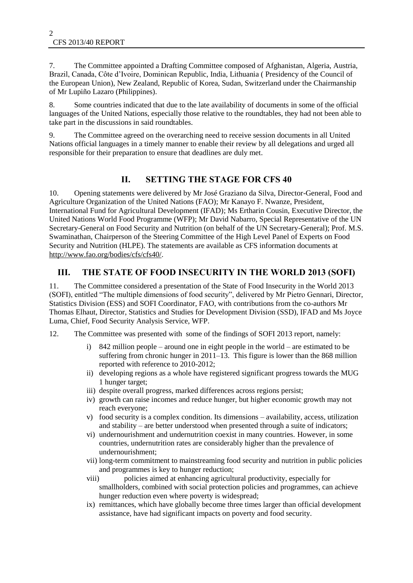7. The Committee appointed a Drafting Committee composed of Afghanistan, Algeria, Austria, Brazil, Canada, Côte d"Ivoire, Dominican Republic, India, Lithuania ( Presidency of the Council of the European Union), New Zealand, Republic of Korea, Sudan, Switzerland under the Chairmanship of Mr Lupiño Lazaro (Philippines).

8. Some countries indicated that due to the late availability of documents in some of the official languages of the United Nations, especially those relative to the roundtables, they had not been able to take part in the discussions in said roundtables.

9. The Committee agreed on the overarching need to receive session documents in all United Nations official languages in a timely manner to enable their review by all delegations and urged all responsible for their preparation to ensure that deadlines are duly met.

# **II. SETTING THE STAGE FOR CFS 40**

10. Opening statements were delivered by Mr José Graziano da Silva, Director-General, Food and Agriculture Organization of the United Nations (FAO); Mr Kanayo F. Nwanze, President, International Fund for Agricultural Development (IFAD); Ms Ertharin Cousin, Executive Director, the United Nations World Food Programme (WFP); Mr David Nabarro, Special Representative of the UN Secretary-General on Food Security and Nutrition (on behalf of the UN Secretary-General); Prof. M.S. Swaminathan, Chairperson of the Steering Committee of the High Level Panel of Experts on Food Security and Nutrition (HLPE). The statements are available as CFS information documents at [http://www.fao.org/bodies/cfs/cfs40/.](http://www.fao.org/bodies/cfs/cfs40/)

## **III. THE STATE OF FOOD INSECURITY IN THE WORLD 2013 (SOFI)**

11. The Committee considered a presentation of the State of Food Insecurity in the World 2013 (SOFI), entitled "The multiple dimensions of food security", delivered by Mr Pietro Gennari, Director, Statistics Division (ESS) and SOFI Coordinator, FAO, with contributions from the co-authors Mr Thomas Elhaut, Director, Statistics and Studies for Development Division (SSD), IFAD and Ms Joyce Luma, Chief, Food Security Analysis Service, WFP.

12. The Committee was presented with some of the findings of SOFI 2013 report, namely:

- i) 842 million people around one in eight people in the world are estimated to be suffering from chronic hunger in 2011–13. This figure is lower than the 868 million reported with reference to 2010-2012;
- ii) developing regions as a whole have registered significant progress towards the MUG 1 hunger target;
- iii) despite overall progress, marked differences across regions persist;
- iv) growth can raise incomes and reduce hunger, but higher economic growth may not reach everyone;
- v) food security is a complex condition. Its dimensions availability, access, utilization and stability – are better understood when presented through a suite of indicators;
- vi) undernourishment and undernutrition coexist in many countries. However, in some countries, undernutrition rates are considerably higher than the prevalence of undernourishment;
- vii) long-term commitment to mainstreaming food security and nutrition in public policies and programmes is key to hunger reduction;
- viii) policies aimed at enhancing agricultural productivity, especially for smallholders, combined with social protection policies and programmes, can achieve hunger reduction even where poverty is widespread;
- ix) remittances, which have globally become three times larger than official development assistance, have had significant impacts on poverty and food security.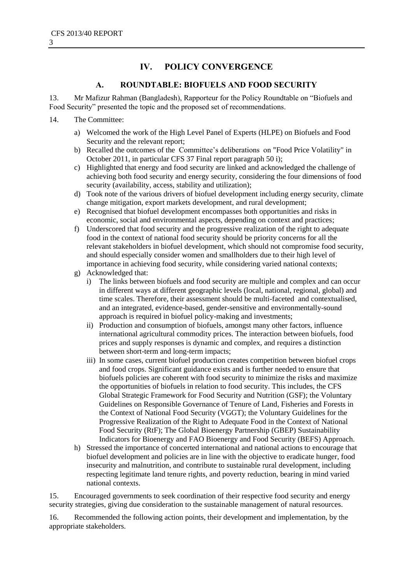# **IV. POLICY CONVERGENCE**

#### **A. ROUNDTABLE: BIOFUELS AND FOOD SECURITY**

13. Mr Mafizur Rahman (Bangladesh), Rapporteur for the Policy Roundtable on "Biofuels and Food Security" presented the topic and the proposed set of recommendations.

#### 14. The Committee:

- a) Welcomed the work of the High Level Panel of Experts (HLPE) on Biofuels and Food Security and the relevant report;
- b) Recalled the outcomes of the Committee"s deliberations on "Food Price Volatility" in October 2011, in particular CFS 37 Final report paragraph 50 i);
- c) Highlighted that energy and food security are linked and acknowledged the challenge of achieving both food security and energy security, considering the four dimensions of food security (availability, access, stability and utilization);
- d) Took note of the various drivers of biofuel development including energy security, climate change mitigation, export markets development, and rural development;
- e) Recognised that biofuel development encompasses both opportunities and risks in economic, social and environmental aspects, depending on context and practices;
- f) Underscored that food security and the progressive realization of the right to adequate food in the context of national food security should be priority concerns for all the relevant stakeholders in biofuel development, which should not compromise food security, and should especially consider women and smallholders due to their high level of importance in achieving food security, while considering varied national contexts;
- g) Acknowledged that:
	- i) The links between biofuels and food security are multiple and complex and can occur in different ways at different geographic levels (local, national, regional, global) and time scales. Therefore, their assessment should be multi-faceted and contextualised, and an integrated, evidence-based, gender-sensitive and environmentally-sound approach is required in biofuel policy-making and investments;
	- ii) Production and consumption of biofuels, amongst many other factors, influence international agricultural commodity prices. The interaction between biofuels, food prices and supply responses is dynamic and complex, and requires a distinction between short-term and long-term impacts;
	- iii) In some cases, current biofuel production creates competition between biofuel crops and food crops. Significant guidance exists and is further needed to ensure that biofuels policies are coherent with food security to minimize the risks and maximize the opportunities of biofuels in relation to food security. This includes, the CFS Global Strategic Framework for Food Security and Nutrition (GSF); the Voluntary Guidelines on Responsible Governance of Tenure of Land, Fisheries and Forests in the Context of National Food Security (VGGT); the Voluntary Guidelines for the Progressive Realization of the Right to Adequate Food in the Context of National Food Security (RtF); The Global Bioenergy Partnership (GBEP) Sustainability Indicators for Bioenergy and FAO Bioenergy and Food Security (BEFS) Approach.
- h) Stressed the importance of concerted international and national actions to encourage that biofuel development and policies are in line with the objective to eradicate hunger, food insecurity and malnutrition, and contribute to sustainable rural development, including respecting legitimate land tenure rights, and poverty reduction, bearing in mind varied national contexts.

15. Encouraged governments to seek coordination of their respective food security and energy security strategies, giving due consideration to the sustainable management of natural resources.

16. Recommended the following action points, their development and implementation, by the appropriate stakeholders.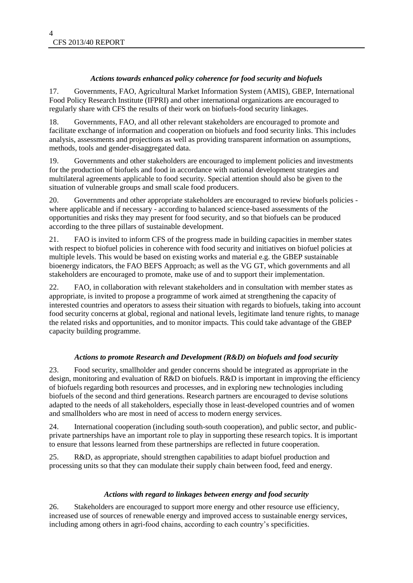#### *Actions towards enhanced policy coherence for food security and biofuels*

17. Governments, FAO, Agricultural Market Information System (AMIS), GBEP, International Food Policy Research Institute (IFPRI) and other international organizations are encouraged to regularly share with CFS the results of their work on biofuels-food security linkages.

18. Governments, FAO, and all other relevant stakeholders are encouraged to promote and facilitate exchange of information and cooperation on biofuels and food security links. This includes analysis, assessments and projections as well as providing transparent information on assumptions, methods, tools and gender-disaggregated data.

19. Governments and other stakeholders are encouraged to implement policies and investments for the production of biofuels and food in accordance with national development strategies and multilateral agreements applicable to food security. Special attention should also be given to the situation of vulnerable groups and small scale food producers.

20. Governments and other appropriate stakeholders are encouraged to review biofuels policies where applicable and if necessary - according to balanced science-based assessments of the opportunities and risks they may present for food security, and so that biofuels can be produced according to the three pillars of sustainable development.

21. FAO is invited to inform CFS of the progress made in building capacities in member states with respect to biofuel policies in coherence with food security and initiatives on biofuel policies at multiple levels. This would be based on existing works and material e.g. the GBEP sustainable bioenergy indicators, the FAO BEFS Approach; as well as the VG GT, which governments and all stakeholders are encouraged to promote, make use of and to support their implementation.

22. FAO, in collaboration with relevant stakeholders and in consultation with member states as appropriate, is invited to propose a programme of work aimed at strengthening the capacity of interested countries and operators to assess their situation with regards to biofuels, taking into account food security concerns at global, regional and national levels, legitimate land tenure rights, to manage the related risks and opportunities, and to monitor impacts. This could take advantage of the GBEP capacity building programme.

#### *Actions to promote Research and Development (R&D) on biofuels and food security*

23. Food security, smallholder and gender concerns should be integrated as appropriate in the design, monitoring and evaluation of R&D on biofuels. R&D is important in improving the efficiency of biofuels regarding both resources and processes, and in exploring new technologies including biofuels of the second and third generations. Research partners are encouraged to devise solutions adapted to the needs of all stakeholders, especially those in least-developed countries and of women and smallholders who are most in need of access to modern energy services.

24. International cooperation (including south-south cooperation), and public sector, and publicprivate partnerships have an important role to play in supporting these research topics. It is important to ensure that lessons learned from these partnerships are reflected in future cooperation.

25. R&D, as appropriate, should strengthen capabilities to adapt biofuel production and processing units so that they can modulate their supply chain between food, feed and energy.

#### *Actions with regard to linkages between energy and food security*

26. Stakeholders are encouraged to support more energy and other resource use efficiency, increased use of sources of renewable energy and improved access to sustainable energy services, including among others in agri-food chains, according to each country"s specificities.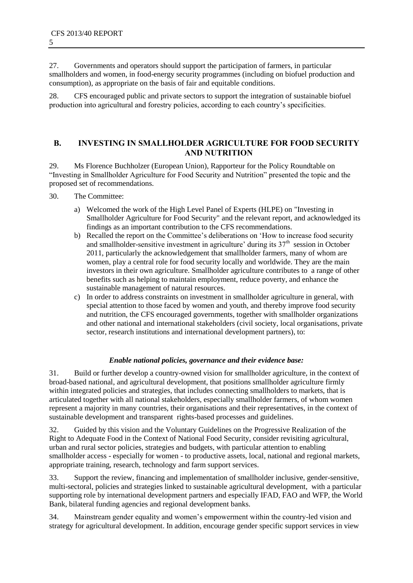27. Governments and operators should support the participation of farmers, in particular smallholders and women, in food-energy security programmes (including on biofuel production and consumption), as appropriate on the basis of fair and equitable conditions.

28. CFS encouraged public and private sectors to support the integration of sustainable biofuel production into agricultural and forestry policies, according to each country"s specificities.

#### **B. INVESTING IN SMALLHOLDER AGRICULTURE FOR FOOD SECURITY AND NUTRITION**

29. Ms Florence Buchholzer (European Union), Rapporteur for the Policy Roundtable on "Investing in Smallholder Agriculture for Food Security and Nutrition" presented the topic and the proposed set of recommendations.

- 30. The Committee:
	- a) Welcomed the work of the High Level Panel of Experts (HLPE) on "Investing in Smallholder Agriculture for Food Security" and the relevant report, and acknowledged its findings as an important contribution to the CFS recommendations.
	- b) Recalled the report on the Committee's deliberations on 'How to increase food security and smallholder-sensitive investment in agriculture' during its  $37<sup>th</sup>$  session in October 2011, particularly the acknowledgement that smallholder farmers, many of whom are women, play a central role for food security locally and worldwide. They are the main investors in their own agriculture. Smallholder agriculture contributes to a range of other benefits such as helping to maintain employment, reduce poverty, and enhance the sustainable management of natural resources.
	- c) In order to address constraints on investment in smallholder agriculture in general, with special attention to those faced by women and youth, and thereby improve food security and nutrition, the CFS encouraged governments, together with smallholder organizations and other national and international stakeholders (civil society, local organisations, private sector, research institutions and international development partners), to:

#### *Enable national policies, governance and their evidence base:*

31. Build or further develop a country-owned vision for smallholder agriculture, in the context of broad-based national, and agricultural development, that positions smallholder agriculture firmly within integrated policies and strategies, that includes connecting smallholders to markets, that is articulated together with all national stakeholders, especially smallholder farmers, of whom women represent a majority in many countries, their organisations and their representatives, in the context of sustainable development and transparent rights-based processes and guidelines.

32. Guided by this vision and the Voluntary Guidelines on the Progressive Realization of the Right to Adequate Food in the Context of National Food Security, consider revisiting agricultural, urban and rural sector policies, strategies and budgets, with particular attention to enabling smallholder access - especially for women - to productive assets, local, national and regional markets, appropriate training, research, technology and farm support services.

33. Support the review, financing and implementation of smallholder inclusive, gender-sensitive, multi-sectoral, policies and strategies linked to sustainable agricultural development, with a particular supporting role by international development partners and especially IFAD, FAO and WFP, the World Bank, bilateral funding agencies and regional development banks.

34. Mainstream gender equality and women"s empowerment within the country-led vision and strategy for agricultural development. In addition, encourage gender specific support services in view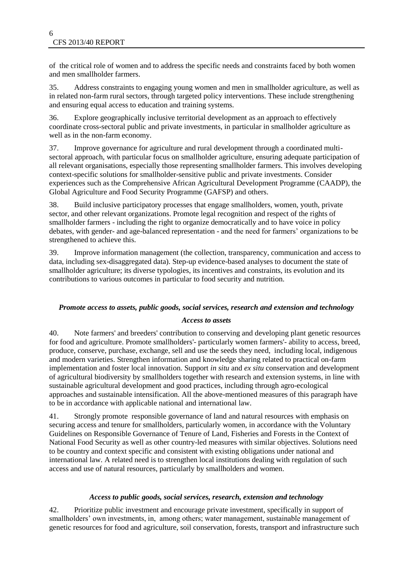of the critical role of women and to address the specific needs and constraints faced by both women and men smallholder farmers.

35. Address constraints to engaging young women and men in smallholder agriculture, as well as in related non-farm rural sectors, through targeted policy interventions. These include strengthening and ensuring equal access to education and training systems.

36. Explore geographically inclusive territorial development as an approach to effectively coordinate cross-sectoral public and private investments, in particular in smallholder agriculture as well as in the non-farm economy.

37. Improve governance for agriculture and rural development through a coordinated multisectoral approach, with particular focus on smallholder agriculture, ensuring adequate participation of all relevant organisations, especially those representing smallholder farmers. This involves developing context-specific solutions for smallholder-sensitive public and private investments. Consider experiences such as the Comprehensive African Agricultural Development Programme (CAADP), the Global Agriculture and Food Security Programme (GAFSP) and others.

38. Build inclusive participatory processes that engage smallholders, women, youth, private sector, and other relevant organizations. Promote legal recognition and respect of the rights of smallholder farmers - including the right to organize democratically and to have voice in policy debates, with gender- and age-balanced representation - and the need for farmers' organizations to be strengthened to achieve this.

39. Improve information management (the collection, transparency, communication and access to data, including sex-disaggregated data). Step-up evidence-based analyses to document the state of smallholder agriculture; its diverse typologies, its incentives and constraints, its evolution and its contributions to various outcomes in particular to food security and nutrition.

#### *Promote access to assets, public goods, social services, research and extension and technology*

#### *Access to assets*

40. Note farmers' and breeders' contribution to conserving and developing plant genetic resources for food and agriculture. Promote smallholders'- particularly women farmers'- ability to access, breed, produce, conserve, purchase, exchange, sell and use the seeds they need, including local, indigenous and modern varieties. Strengthen information and knowledge sharing related to practical on-farm implementation and foster local innovation. Support *in situ* and *ex situ* conservation and development of agricultural biodiversity by smallholders together with research and extension systems, in line with sustainable agricultural development and good practices, including through agro-ecological approaches and sustainable intensification. All the above-mentioned measures of this paragraph have to be in accordance with applicable national and international law.

41. Strongly promote responsible governance of land and natural resources with emphasis on securing access and tenure for smallholders, particularly women, in accordance with the Voluntary Guidelines on Responsible Governance of Tenure of Land, Fisheries and Forests in the Context of National Food Security as well as other country-led measures with similar objectives. Solutions need to be country and context specific and consistent with existing obligations under national and international law. A related need is to strengthen local institutions dealing with regulation of such access and use of natural resources, particularly by smallholders and women.

#### *Access to public goods, social services, research, extension and technology*

42. Prioritize public investment and encourage private investment, specifically in support of smallholders' own investments, in, among others; water management, sustainable management of genetic resources for food and agriculture, soil conservation, forests, transport and infrastructure such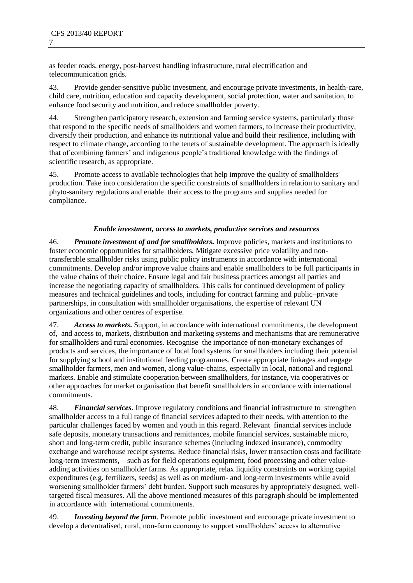as feeder roads, energy, post-harvest handling infrastructure, rural electrification and telecommunication grids.

43. Provide gender-sensitive public investment, and encourage private investments, in health-care, child care, nutrition, education and capacity development, social protection, water and sanitation, to enhance food security and nutrition, and reduce smallholder poverty.

44. Strengthen participatory research, extension and farming service systems, particularly those that respond to the specific needs of smallholders and women farmers, to increase their productivity, diversify their production, and enhance its nutritional value and build their resilience, including with respect to climate change, according to the tenets of sustainable development. The approach is ideally that of combining farmers" and indigenous people"s traditional knowledge with the findings of scientific research, as appropriate.

45. Promote access to available technologies that help improve the quality of smallholders' production. Take into consideration the specific constraints of smallholders in relation to sanitary and phyto-sanitary regulations and enable their access to the programs and supplies needed for compliance.

#### *Enable investment, access to markets, productive services and resources*

46. *Promote investment of and for smallholders***.** Improve policies, markets and institutions to foster economic opportunities for smallholders. Mitigate excessive price volatility and nontransferable smallholder risks using public policy instruments in accordance with international commitments. Develop and/or improve value chains and enable smallholders to be full participants in the value chains of their choice. Ensure legal and fair business practices amongst all parties and increase the negotiating capacity of smallholders. This calls for continued development of policy measures and technical guidelines and tools, including for contract farming and public–private partnerships, in consultation with smallholder organisations, the expertise of relevant UN organizations and other centres of expertise.

47. *Access to markets***.** Support, in accordance with international commitments, the development of, and access to, markets, distribution and marketing systems and mechanisms that are remunerative for smallholders and rural economies. Recognise the importance of non-monetary exchanges of products and services, the importance of local food systems for smallholders including their potential for supplying school and institutional feeding programmes. Create appropriate linkages and engage smallholder farmers, men and women, along value-chains, especially in local, national and regional markets. Enable and stimulate cooperation between smallholders, for instance, via cooperatives or other approaches for market organisation that benefit smallholders in accordance with international commitments.

48. *Financial services*. Improve regulatory conditions and financial infrastructure to strengthen smallholder access to a full range of financial services adapted to their needs, with attention to the particular challenges faced by women and youth in this regard. Relevant financial services include safe deposits, monetary transactions and remittances, mobile financial services, sustainable micro, short and long-term credit, public insurance schemes (including indexed insurance), commodity exchange and warehouse receipt systems. Reduce financial risks, lower transaction costs and facilitate long-term investments, – such as for field operations equipment, food processing and other valueadding activities on smallholder farms. As appropriate, relax liquidity constraints on working capital expenditures (e.g. fertilizers, seeds) as well as on medium- and long-term investments while avoid worsening smallholder farmers' debt burden. Support such measures by appropriately designed, welltargeted fiscal measures. All the above mentioned measures of this paragraph should be implemented in accordance with international commitments.

49. *Investing beyond the farm.* Promote public investment and encourage private investment to develop a decentralised, rural, non-farm economy to support smallholders' access to alternative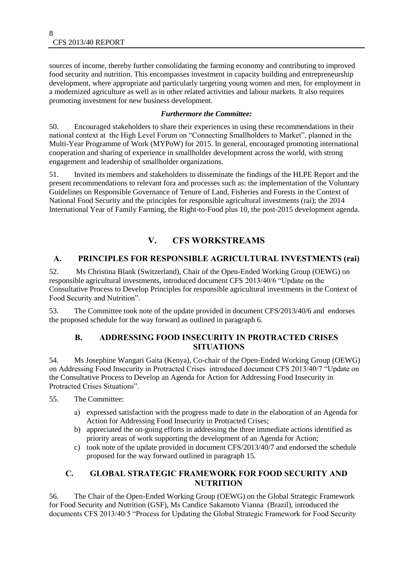sources of income, thereby further consolidating the farming economy and contributing to improved food security and nutrition. This encompasses investment in capacity building and entrepreneurship development, where appropriate and particularly targeting young women and men, for employment in a modernized agriculture as well as in other related activities and labour markets. It also requires promoting investment for new business development.

#### *Furthermore the Committee:*

50. Encouraged stakeholders to share their experiences in using these recommendations in their national context at the High Level Forum on "Connecting Smallholders to Market", planned in the Multi-Year Programme of Work (MYPoW) for 2015. In general, encouraged promoting international cooperation and sharing of experience in smallholder development across the world, with strong engagement and leadership of smallholder organizations.

51. Invited its members and stakeholders to disseminate the findings of the HLPE Report and the present recommendations to relevant fora and processes such as: the implementation of the Voluntary Guidelines on Responsible Governance of Tenure of Land, Fisheries and Forests in the Context of National Food Security and the principles for responsible agricultural investments (rai); the 2014 International Year of Family Farming, the Right-to-Food plus 10, the post-2015 development agenda.

# **V. CFS WORKSTREAMS**

#### **A. PRINCIPLES FOR RESPONSIBLE AGRICULTURAL INVESTMENTS (rai)**

52. Ms Christina Blank (Switzerland), Chair of the Open-Ended Working Group (OEWG) on responsible agricultural investments, introduced document CFS 2013/40/6 "Update on the Consultative Process to Develop Principles for responsible agricultural investments in the Context of Food Security and Nutrition".

53. The Committee took note of the update provided in document CFS/2013/40/6 and endorses the proposed schedule for the way forward as outlined in paragraph 6.

#### **B. ADDRESSING FOOD INSECURITY IN PROTRACTED CRISES SITUATIONS**

54. Ms Josephine Wangari Gaita (Kenya), Co-chair of the Open-Ended Working Group (OEWG) on Addressing Food Insecurity in Protracted Crises introduced document CFS 2013/40/7 "Update on the Consultative Process to Develop an Agenda for Action for Addressing Food Insecurity in Protracted Crises Situations".

- 55. The Committee:
	- a) expressed satisfaction with the progress made to date in the elaboration of an Agenda for Action for Addressing Food Insecurity in Protracted Crises;
	- b) appreciated the on-going efforts in addressing the three immediate actions identified as priority areas of work supporting the development of an Agenda for Action;
	- c) took note of the update provided in document CFS/2013/40/7 and endorsed the schedule proposed for the way forward outlined in paragraph 15.

#### **C. GLOBAL STRATEGIC FRAMEWORK FOR FOOD SECURITY AND NUTRITION**

56. The Chair of the Open-Ended Working Group (OEWG) on the Global Strategic Framework for Food Security and Nutrition (GSF), Ms Candice Sakamoto Vianna (Brazil), introduced the documents CFS 2013/40/5 "Process for Updating the Global Strategic Framework for Food Security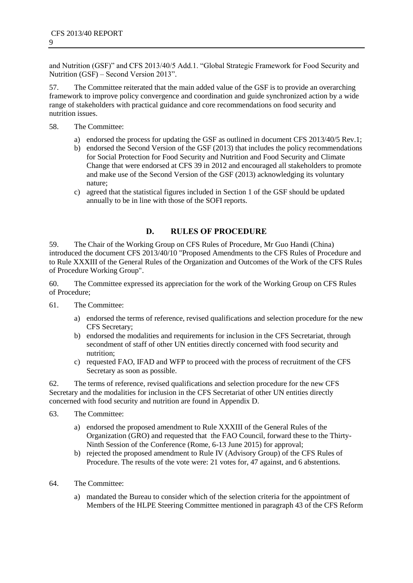and Nutrition (GSF)" and CFS 2013/40/5 Add.1. "Global Strategic Framework for Food Security and Nutrition (GSF) – Second Version 2013".

57. The Committee reiterated that the main added value of the GSF is to provide an overarching framework to improve policy convergence and coordination and guide synchronized action by a wide range of stakeholders with practical guidance and core recommendations on food security and nutrition issues.

- 58. The Committee:
	- a) endorsed the process for updating the GSF as outlined in document CFS 2013/40/5 Rev.1;
	- b) endorsed the Second Version of the GSF (2013) that includes the policy recommendations for Social Protection for Food Security and Nutrition and Food Security and Climate Change that were endorsed at CFS 39 in 2012 and encouraged all stakeholders to promote and make use of the Second Version of the GSF (2013) acknowledging its voluntary nature;
	- c) agreed that the statistical figures included in Section 1 of the GSF should be updated annually to be in line with those of the SOFI reports.

## **D. RULES OF PROCEDURE**

59. The Chair of the Working Group on CFS Rules of Procedure, Mr Guo Handi (China) introduced the document CFS 2013/40/10 "Proposed Amendments to the CFS Rules of Procedure and to Rule XXXIII of the General Rules of the Organization and Outcomes of the Work of the CFS Rules of Procedure Working Group".

60. The Committee expressed its appreciation for the work of the Working Group on CFS Rules of Procedure;

- 61. The Committee:
	- a) endorsed the terms of reference, revised qualifications and selection procedure for the new CFS Secretary;
	- b) endorsed the modalities and requirements for inclusion in the CFS Secretariat, through secondment of staff of other UN entities directly concerned with food security and nutrition;
	- c) requested FAO, IFAD and WFP to proceed with the process of recruitment of the CFS Secretary as soon as possible.

62. The terms of reference, revised qualifications and selection procedure for the new CFS Secretary and the modalities for inclusion in the CFS Secretariat of other UN entities directly concerned with food security and nutrition are found in Appendix D.

- 63. The Committee:
	- a) endorsed the proposed amendment to Rule XXXIII of the General Rules of the Organization (GRO) and requested that the FAO Council, forward these to the Thirty-Ninth Session of the Conference (Rome, 6-13 June 2015) for approval;
	- b) rejected the proposed amendment to Rule IV (Advisory Group) of the CFS Rules of Procedure. The results of the vote were: 21 votes for, 47 against, and 6 abstentions.
- 64. The Committee:
	- a) mandated the Bureau to consider which of the selection criteria for the appointment of Members of the HLPE Steering Committee mentioned in paragraph 43 of the CFS Reform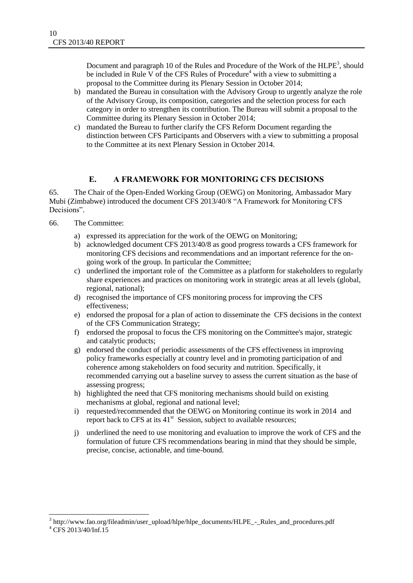Document and paragraph 10 of the Rules and Procedure of the Work of the  $HLPE^3$ , should be included in Rule V of the CFS Rules of Procedure<sup>4</sup> with a view to submitting a proposal to the Committee during its Plenary Session in October 2014;

- b) mandated the Bureau in consultation with the Advisory Group to urgently analyze the role of the Advisory Group, its composition, categories and the selection process for each category in order to strengthen its contribution. The Bureau will submit a proposal to the Committee during its Plenary Session in October 2014;
- c) mandated the Bureau to further clarify the CFS Reform Document regarding the distinction between CFS Participants and Observers with a view to submitting a proposal to the Committee at its next Plenary Session in October 2014.

#### **E. A FRAMEWORK FOR MONITORING CFS DECISIONS**

65. The Chair of the Open-Ended Working Group (OEWG) on Monitoring, Ambassador Mary Mubi (Zimbabwe) introduced the document CFS 2013/40/8 "A Framework for Monitoring CFS Decisions".

- 66. The Committee:
	- a) expressed its appreciation for the work of the OEWG on Monitoring;
	- b) acknowledged document CFS 2013/40/8 as good progress towards a CFS framework for monitoring CFS decisions and recommendations and an important reference for the ongoing work of the group. In particular the Committee;
	- c) underlined the important role of the Committee as a platform for stakeholders to regularly share experiences and practices on monitoring work in strategic areas at all levels (global, regional, national);
	- d) recognised the importance of CFS monitoring process for improving the CFS effectiveness;
	- e) endorsed the proposal for a plan of action to disseminate the CFS decisions in the context of the CFS Communication Strategy;
	- f) endorsed the proposal to focus the CFS monitoring on the Committee's major, strategic and catalytic products;
	- g) endorsed the conduct of periodic assessments of the CFS effectiveness in improving policy frameworks especially at country level and in promoting participation of and coherence among stakeholders on food security and nutrition. Specifically, it recommended carrying out a baseline survey to assess the current situation as the base of assessing progress;
	- h) highlighted the need that CFS monitoring mechanisms should build on existing mechanisms at global, regional and national level;
	- i) requested/recommended that the OEWG on Monitoring continue its work in 2014 and report back to CFS at its  $41<sup>st</sup>$  Session, subject to available resources;
	- j) underlined the need to use monitoring and evaluation to improve the work of CFS and the formulation of future CFS recommendations bearing in mind that they should be simple, precise, concise, actionable, and time-bound.

l

<sup>&</sup>lt;sup>3</sup> [http://www.fao.org/fileadmin/user\\_upload/hlpe/hlpe\\_documents/HLPE\\_-\\_Rules\\_and\\_procedures.pdf](http://www.fao.org/fileadmin/user_upload/hlpe/hlpe_documents/HLPE_-_Rules_and_procedures.pdf)

 $^{4}$  CFS 2013/40/Inf.15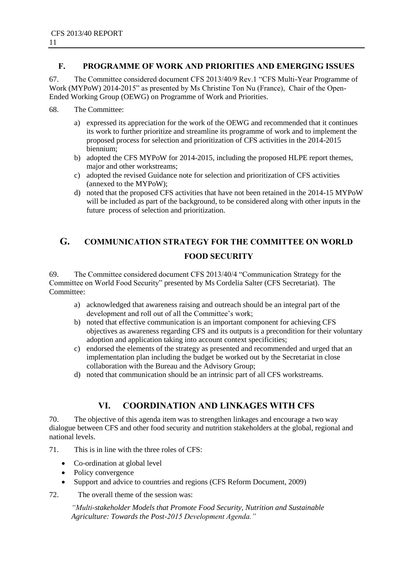#### **F. PROGRAMME OF WORK AND PRIORITIES AND EMERGING ISSUES**

67. The Committee considered document CFS 2013/40/9 Rev.1 "CFS Multi-Year Programme of Work (MYPoW) 2014-2015" as presented by Ms Christine Ton Nu (France), Chair of the Open-Ended Working Group (OEWG) on Programme of Work and Priorities.

- 68. The Committee:
	- a) expressed its appreciation for the work of the OEWG and recommended that it continues its work to further prioritize and streamline its programme of work and to implement the proposed process for selection and prioritization of CFS activities in the 2014-2015 biennium;
	- b) adopted the CFS MYPoW for 2014-2015, including the proposed HLPE report themes, major and other workstreams;
	- c) adopted the revised Guidance note for selection and prioritization of CFS activities (annexed to the MYPoW);
	- d) noted that the proposed CFS activities that have not been retained in the 2014-15 MYPoW will be included as part of the background, to be considered along with other inputs in the future process of selection and prioritization.

# **G. COMMUNICATION STRATEGY FOR THE COMMITTEE ON WORLD FOOD SECURITY**

69. The Committee considered document CFS 2013/40/4 "Communication Strategy for the Committee on World Food Security" presented by Ms Cordelia Salter (CFS Secretariat). The Committee:

- a) acknowledged that awareness raising and outreach should be an integral part of the development and roll out of all the Committee's work;
- b) noted that effective communication is an important component for achieving CFS objectives as awareness regarding CFS and its outputs is a precondition for their voluntary adoption and application taking into account context specificities;
- c) endorsed the elements of the strategy as presented and recommended and urged that an implementation plan including the budget be worked out by the Secretariat in close collaboration with the Bureau and the Advisory Group;
- d) noted that communication should be an intrinsic part of all CFS workstreams.

# **VI. COORDINATION AND LINKAGES WITH CFS**

70. The objective of this agenda item was to strengthen linkages and encourage a two way dialogue between CFS and other food security and nutrition stakeholders at the global, regional and national levels.

- 71. This is in line with the three roles of CFS:
	- Co-ordination at global level
	- Policy convergence
	- Support and advice to countries and regions (CFS Reform Document, 2009)
- 72. The overall theme of the session was:

*"Multi-stakeholder Models that Promote Food Security, Nutrition and Sustainable Agriculture: Towards the Post-2015 Development Agenda."*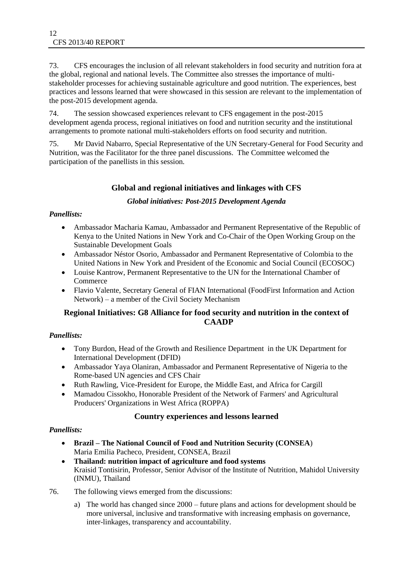73. CFS encourages the inclusion of all relevant stakeholders in food security and nutrition fora at the global, regional and national levels. The Committee also stresses the importance of multistakeholder processes for achieving sustainable agriculture and good nutrition. The experiences, best practices and lessons learned that were showcased in this session are relevant to the implementation of the post-2015 development agenda.

74. The session showcased experiences relevant to CFS engagement in the post-2015 development agenda process, regional initiatives on food and nutrition security and the institutional arrangements to promote national multi-stakeholders efforts on food security and nutrition.

75. Mr David Nabarro, Special Representative of the UN Secretary-General for Food Security and Nutrition, was the Facilitator for the three panel discussions. The Committee welcomed the participation of the panellists in this session.

#### **Global and regional initiatives and linkages with CFS**

#### *Global initiatives: Post-2015 Development Agenda*

#### *Panellists:*

- Ambassador Macharia Kamau, Ambassador and Permanent Representative of the Republic of Kenya to the United Nations in New York and Co-Chair of the Open Working Group on the Sustainable Development Goals
- Ambassador Néstor Osorio, Ambassador and Permanent Representative of Colombia to the United Nations in New York and President of the Economic and Social Council (ECOSOC)
- Louise Kantrow, Permanent Representative to the UN for the International Chamber of Commerce
- Flavio Valente, Secretary General of FIAN International (FoodFirst Information and Action Network) – a member of the Civil Society Mechanism

#### **Regional Initiatives: G8 Alliance for food security and nutrition in the context of CAADP**

#### *Panellists:*

- Tony Burdon, Head of the Growth and Resilience Department in the UK Department for International Development (DFID)
- Ambassador Yaya Olaniran, Ambassador and Permanent Representative of Nigeria to the Rome-based UN agencies and CFS Chair
- Ruth Rawling, Vice-President for Europe, the Middle East, and Africa for Cargill
- Mamadou Cissokho, Honorable President of the Network of Farmers' and Agricultural Producers' Organizations in West Africa (ROPPA)

#### **Country experiences and lessons learned**

#### *Panellists:*

- **Brazil – The National Council of Food and Nutrition Security (CONSEA**) Maria Emilia Pacheco, President, CONSEA, Brazil
- **Thailand: nutrition impact of agriculture and food systems** Kraisid Tontisirin, Professor, Senior Advisor of the Institute of Nutrition, Mahidol University (INMU), Thailand
- 76. The following views emerged from the discussions:
	- a) The world has changed since 2000 future plans and actions for development should be more universal, inclusive and transformative with increasing emphasis on governance, inter-linkages, transparency and accountability.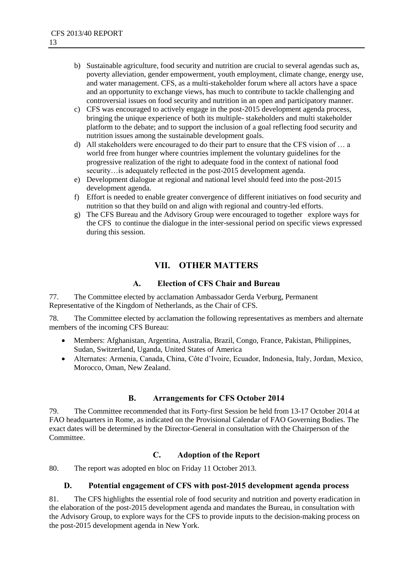- b) Sustainable agriculture, food security and nutrition are crucial to several agendas such as, poverty alleviation, gender empowerment, youth employment, climate change, energy use, and water management. CFS, as a multi-stakeholder forum where all actors have a space and an opportunity to exchange views, has much to contribute to tackle challenging and controversial issues on food security and nutrition in an open and participatory manner.
- c) CFS was encouraged to actively engage in the post-2015 development agenda process, bringing the unique experience of both its multiple-stakeholders and multi stakeholder platform to the debate; and to support the inclusion of a goal reflecting food security and nutrition issues among the sustainable development goals.
- d) All stakeholders were encouraged to do their part to ensure that the CFS vision of … a world free from hunger where countries implement the voluntary guidelines for the progressive realization of the right to adequate food in the context of national food security…is adequately reflected in the post-2015 development agenda.
- e) Development dialogue at regional and national level should feed into the post-2015 development agenda.
- f) Effort is needed to enable greater convergence of different initiatives on food security and nutrition so that they build on and align with regional and country-led efforts.
- g) The CFS Bureau and the Advisory Group were encouraged to together explore ways for the CFS to continue the dialogue in the inter-sessional period on specific views expressed during this session.

# **VII. OTHER MATTERS**

#### **A. Election of CFS Chair and Bureau**

77. The Committee elected by acclamation Ambassador Gerda Verburg, Permanent Representative of the Kingdom of Netherlands, as the Chair of CFS.

78. The Committee elected by acclamation the following representatives as members and alternate members of the incoming CFS Bureau:

- Members: Afghanistan, Argentina, Australia, Brazil, Congo, France, Pakistan, Philippines, Sudan, Switzerland, Uganda, United States of America
- Alternates: Armenia, Canada, China, Côte d"Ivoire, Ecuador, Indonesia, Italy, Jordan, Mexico, Morocco, Oman, New Zealand.

#### **B. Arrangements for CFS October 2014**

79. The Committee recommended that its Forty-first Session be held from 13-17 October 2014 at FAO headquarters in Rome, as indicated on the Provisional Calendar of FAO Governing Bodies. The exact dates will be determined by the Director-General in consultation with the Chairperson of the Committee.

#### **C. Adoption of the Report**

80. The report was adopted en bloc on Friday 11 October 2013.

#### **D. Potential engagement of CFS with post-2015 development agenda process**

81. The CFS highlights the essential role of food security and nutrition and poverty eradication in the elaboration of the post-2015 development agenda and mandates the Bureau, in consultation with the Advisory Group, to explore ways for the CFS to provide inputs to the decision-making process on the post-2015 development agenda in New York.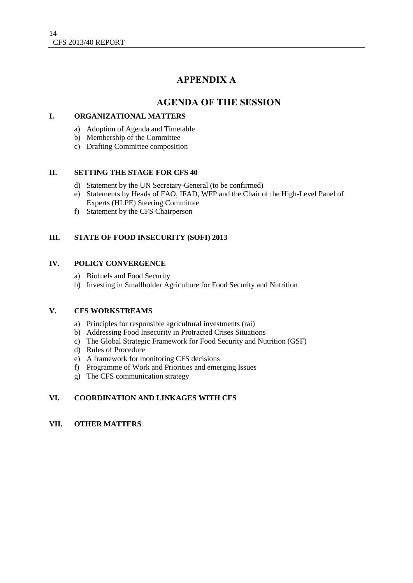# **APPENDIX A**

# **AGENDA OF THE SESSION**

#### **I. ORGANIZATIONAL MATTERS**

- a) Adoption of Agenda and Timetable
- b) Membership of the Committee
- c) Drafting Committee composition

#### **II. SETTING THE STAGE FOR CFS 40**

- d) Statement by the UN Secretary-General (to be confirmed)
- e) Statements by Heads of FAO, IFAD, WFP and the Chair of the High-Level Panel of Experts (HLPE) Steering Committee
- f) Statement by the CFS Chairperson

#### **III. STATE OF FOOD INSECURITY (SOFI) 2013**

#### **IV. POLICY CONVERGENCE**

- a) Biofuels and Food Security
- b) Investing in Smallholder Agriculture for Food Security and Nutrition

#### **V. CFS WORKSTREAMS**

- a) Principles for responsible agricultural investments (rai)
- b) Addressing Food Insecurity in Protracted Crises Situations
- c) The Global Strategic Framework for Food Security and Nutrition (GSF)
- d) Rules of Procedure
- e) A framework for monitoring CFS decisions
- f) Programme of Work and Priorities and emerging Issues
- g) The CFS communication strategy

#### **VI. COORDINATION AND LINKAGES WITH CFS**

#### **VII. OTHER MATTERS**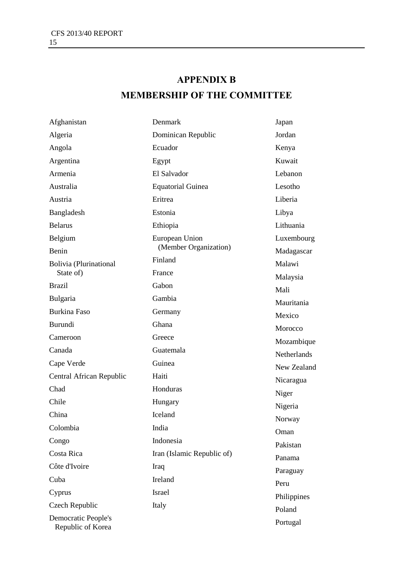# **APPENDIX B MEMBERSHIP OF THE COMMITTEE**

| Afghanistan                              | Denmark                    | Japan       |
|------------------------------------------|----------------------------|-------------|
| Algeria                                  | Dominican Republic         | Jordan      |
| Angola                                   | Ecuador                    | Kenya       |
| Argentina                                | Egypt                      | Kuwait      |
| Armenia                                  | El Salvador                | Lebanon     |
| Australia                                | <b>Equatorial Guinea</b>   | Lesotho     |
| Austria                                  | Eritrea                    | Liberia     |
| Bangladesh                               | Estonia                    | Libya       |
| <b>Belarus</b>                           | Ethiopia                   | Lithuania   |
| Belgium                                  | European Union             | Luxembourg  |
| Benin                                    | (Member Organization)      | Madagascar  |
| Bolivia (Plurinational                   | Finland                    | Malawi      |
| State of)                                | France                     | Malaysia    |
| <b>Brazil</b>                            | Gabon                      | Mali        |
| Bulgaria                                 | Gambia                     | Mauritania  |
| <b>Burkina Faso</b>                      | Germany                    | Mexico      |
| Burundi                                  | Ghana                      | Morocco     |
| Cameroon                                 | Greece                     | Mozambique  |
| Canada                                   | Guatemala                  | Netherlands |
| Cape Verde                               | Guinea                     | New Zealand |
| Central African Republic                 | Haiti                      | Nicaragua   |
| Chad                                     | Honduras                   | Niger       |
| Chile                                    | Hungary                    | Nigeria     |
| China                                    | Iceland                    | Norway      |
| Colombia                                 | India                      | Oman        |
| Congo                                    | Indonesia                  | Pakistan    |
| Costa Rica                               | Iran (Islamic Republic of) | Panama      |
| Côte d'Ivoire                            | Iraq                       | Paraguay    |
| Cuba                                     | Ireland                    | Peru        |
| Cyprus                                   | <b>Israel</b>              | Philippines |
| Czech Republic                           | Italy                      | Poland      |
| Democratic People's<br>Republic of Korea |                            | Portugal    |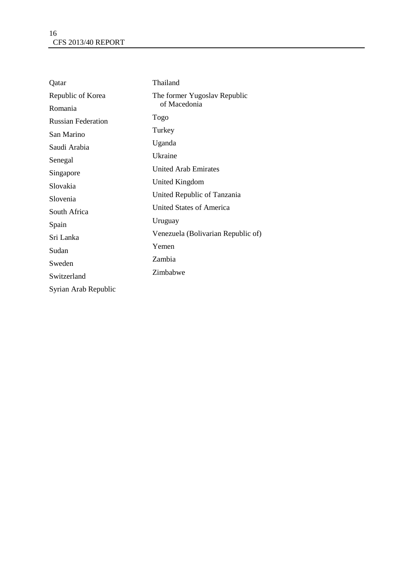| Qatar                     | Thailand                           |  |
|---------------------------|------------------------------------|--|
| Republic of Korea         | The former Yugoslav Republic       |  |
| Romania                   | of Macedonia                       |  |
| <b>Russian Federation</b> | Togo                               |  |
| San Marino                | Turkey                             |  |
| Saudi Arabia              | Uganda                             |  |
| Senegal                   | Ukraine                            |  |
| Singapore                 | <b>United Arab Emirates</b>        |  |
| Slovakia                  | United Kingdom                     |  |
| Slovenia                  | United Republic of Tanzania        |  |
| South Africa              | United States of America           |  |
| Spain                     | Uruguay                            |  |
| Sri Lanka                 | Venezuela (Bolivarian Republic of) |  |
| Sudan                     | Yemen                              |  |
| Sweden                    | Zambia                             |  |
|                           | Zimbabwe                           |  |
| Switzerland               |                                    |  |
| Syrian Arab Republic      |                                    |  |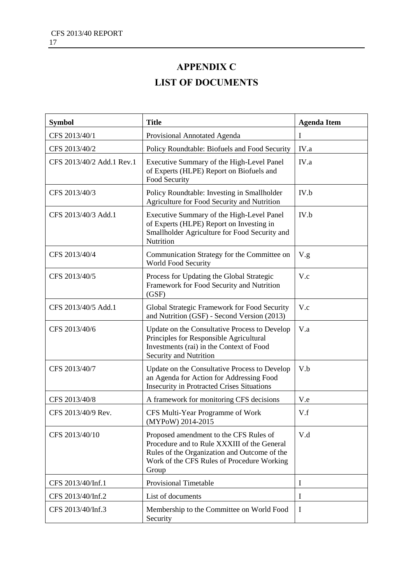# **APPENDIX C LIST OF DOCUMENTS**

| <b>Symbol</b>             | <b>Title</b>                                                                                                                                                                                 | <b>Agenda Item</b> |
|---------------------------|----------------------------------------------------------------------------------------------------------------------------------------------------------------------------------------------|--------------------|
| CFS 2013/40/1             | Provisional Annotated Agenda                                                                                                                                                                 | Ι                  |
| CFS 2013/40/2             | Policy Roundtable: Biofuels and Food Security                                                                                                                                                | IV.a               |
| CFS 2013/40/2 Add.1 Rev.1 | Executive Summary of the High-Level Panel<br>of Experts (HLPE) Report on Biofuels and<br>Food Security                                                                                       | IV.a               |
| CFS 2013/40/3             | Policy Roundtable: Investing in Smallholder<br>Agriculture for Food Security and Nutrition                                                                                                   | IV.b               |
| CFS 2013/40/3 Add.1       | Executive Summary of the High-Level Panel<br>of Experts (HLPE) Report on Investing in<br>Smallholder Agriculture for Food Security and<br>Nutrition                                          | IV.b               |
| CFS 2013/40/4             | Communication Strategy for the Committee on<br>World Food Security                                                                                                                           | V.g.               |
| CFS 2013/40/5             | Process for Updating the Global Strategic<br>Framework for Food Security and Nutrition<br>(GSF)                                                                                              | V.c                |
| CFS 2013/40/5 Add.1       | Global Strategic Framework for Food Security<br>and Nutrition (GSF) - Second Version (2013)                                                                                                  | V.c                |
| CFS 2013/40/6             | Update on the Consultative Process to Develop<br>Principles for Responsible Agricultural<br>Investments (rai) in the Context of Food<br>Security and Nutrition                               | V.a                |
| CFS 2013/40/7             | Update on the Consultative Process to Develop<br>an Agenda for Action for Addressing Food<br><b>Insecurity in Protracted Crises Situations</b>                                               | V.b                |
| CFS 2013/40/8             | A framework for monitoring CFS decisions                                                                                                                                                     | V.e                |
| CFS 2013/40/9 Rev.        | CFS Multi-Year Programme of Work<br>(MYPoW) 2014-2015                                                                                                                                        | V.f                |
| CFS 2013/40/10            | Proposed amendment to the CFS Rules of<br>Procedure and to Rule XXXIII of the General<br>Rules of the Organization and Outcome of the<br>Work of the CFS Rules of Procedure Working<br>Group | V.d                |
| CFS 2013/40/Inf.1         | <b>Provisional Timetable</b>                                                                                                                                                                 | 1                  |
| CFS 2013/40/Inf.2         | List of documents                                                                                                                                                                            | I                  |
| CFS 2013/40/Inf.3         | Membership to the Committee on World Food<br>Security                                                                                                                                        | $\mathbf I$        |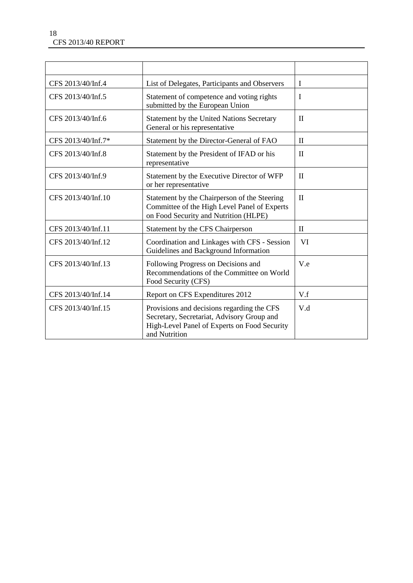| CFS 2013/40/Inf.4  | List of Delegates, Participants and Observers                                                                                                             | $\mathbf I$  |
|--------------------|-----------------------------------------------------------------------------------------------------------------------------------------------------------|--------------|
| CFS 2013/40/Inf.5  | Statement of competence and voting rights<br>submitted by the European Union                                                                              | $\bf{I}$     |
| CFS 2013/40/Inf.6  | Statement by the United Nations Secretary<br>General or his representative                                                                                | $\mathbf{I}$ |
| CFS 2013/40/Inf.7* | Statement by the Director-General of FAO                                                                                                                  | $\mathbf{I}$ |
| CFS 2013/40/Inf.8  | Statement by the President of IFAD or his<br>representative                                                                                               | $\mathbf{I}$ |
| CFS 2013/40/Inf.9  | Statement by the Executive Director of WFP<br>or her representative                                                                                       | $\mathbf{I}$ |
| CFS 2013/40/Inf.10 | Statement by the Chairperson of the Steering<br>Committee of the High Level Panel of Experts<br>on Food Security and Nutrition (HLPE)                     | $\mathbf{I}$ |
| CFS 2013/40/Inf.11 | Statement by the CFS Chairperson                                                                                                                          | $\mathbf{I}$ |
| CFS 2013/40/Inf.12 | Coordination and Linkages with CFS - Session<br>Guidelines and Background Information                                                                     | VI           |
| CFS 2013/40/Inf.13 | Following Progress on Decisions and<br>Recommendations of the Committee on World<br>Food Security (CFS)                                                   | V.e          |
| CFS 2013/40/Inf.14 | Report on CFS Expenditures 2012                                                                                                                           | V.f          |
| CFS 2013/40/Inf.15 | Provisions and decisions regarding the CFS<br>Secretary, Secretariat, Advisory Group and<br>High-Level Panel of Experts on Food Security<br>and Nutrition | V.d          |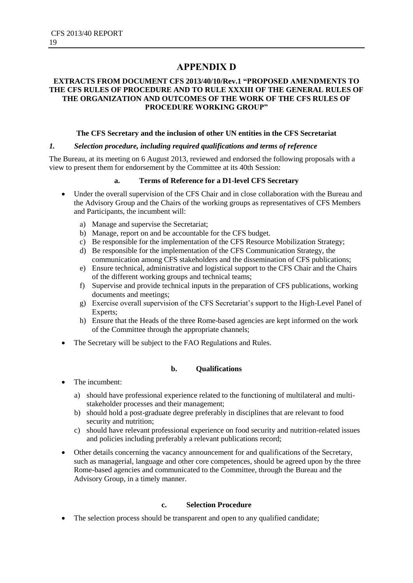# **APPENDIX D**

#### **EXTRACTS FROM DOCUMENT CFS 2013/40/10/Rev.1 "PROPOSED AMENDMENTS TO THE CFS RULES OF PROCEDURE AND TO RULE XXXIII OF THE GENERAL RULES OF THE ORGANIZATION AND OUTCOMES OF THE WORK OF THE CFS RULES OF PROCEDURE WORKING GROUP"**

#### **The CFS Secretary and the inclusion of other UN entities in the CFS Secretariat**

#### *1. Selection procedure, including required qualifications and terms of reference*

The Bureau, at its meeting on 6 August 2013, reviewed and endorsed the following proposals with a view to present them for endorsement by the Committee at its 40th Session:

#### **a. Terms of Reference for a D1-level CFS Secretary**

- Under the overall supervision of the CFS Chair and in close collaboration with the Bureau and the Advisory Group and the Chairs of the working groups as representatives of CFS Members and Participants, the incumbent will:
	- a) Manage and supervise the Secretariat;
	- b) Manage, report on and be accountable for the CFS budget.
	- c) Be responsible for the implementation of the CFS Resource Mobilization Strategy;
	- d) Be responsible for the implementation of the CFS Communication Strategy, the communication among CFS stakeholders and the dissemination of CFS publications;
	- e) Ensure technical, administrative and logistical support to the CFS Chair and the Chairs of the different working groups and technical teams;
	- f) Supervise and provide technical inputs in the preparation of CFS publications, working documents and meetings;
	- g) Exercise overall supervision of the CFS Secretariat"s support to the High-Level Panel of Experts;
	- h) Ensure that the Heads of the three Rome-based agencies are kept informed on the work of the Committee through the appropriate channels;
- The Secretary will be subject to the FAO Regulations and Rules.

#### **b. Qualifications**

- The incumbent:
	- a) should have professional experience related to the functioning of multilateral and multistakeholder processes and their management;
	- b) should hold a post-graduate degree preferably in disciplines that are relevant to food security and nutrition;
	- c) should have relevant professional experience on food security and nutrition-related issues and policies including preferably a relevant publications record;
- Other details concerning the vacancy announcement for and qualifications of the Secretary, such as managerial, language and other core competences, should be agreed upon by the three Rome-based agencies and communicated to the Committee, through the Bureau and the Advisory Group, in a timely manner.

#### **c. Selection Procedure**

• The selection process should be transparent and open to any qualified candidate;